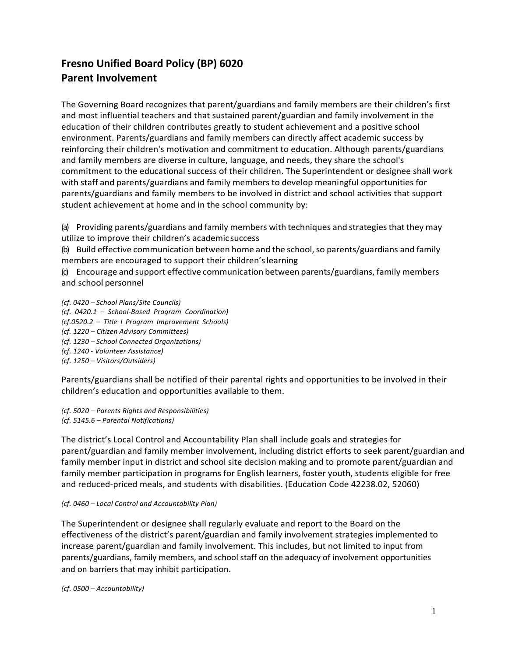## **Fresno Unified Board Policy (BP) 6020 Parent Involvement**

The Governing Board recognizes that parent/guardians and family members are their children's first and most influential teachers and that sustained parent/guardian and family involvement in the education of their children contributes greatly to student achievement and a positive school environment. Parents/guardians and family members can directly affect academic success by reinforcing their children's motivation and commitment to education. Although parents/guardians and family members are diverse in culture, language, and needs, they share the school's commitment to the educational success of their children. The Superintendent or designee shall work with staff and parents/guardians and family members to develop meaningful opportunities for parents/guardians and family members to be involved in district and school activities that support student achievement at home and in the school community by:

(a) Providing parents/guardians and family members with techniques and strategiesthat they may utilize to improve their children's academicsuccess

(b) Build effective communication between home and the school,so parents/guardians and family members are encouraged to support their children'slearning

(c) Encourage and support effective communication between parents/guardians, family members and school personnel

*(cf. 0420 – School Plans/Site Councils) (cf. 0420.1 – School-Based Program Coordination) (cf.0520.2 – Title I Program Improvement Schools) (cf. 1220 – Citizen Advisory Committees) (cf. 1230 – School Connected Organizations) (cf. 1240 - Volunteer Assistance) (cf. 1250 – Visitors/Outsiders)*

Parents/guardians shall be notified of their parental rights and opportunities to be involved in their children's education and opportunities available to them.

*(cf. 5020 – Parents Rights and Responsibilities) (cf. 5145.6 – Parental Notifications)*

The district's Local Control and Accountability Plan shall include goals and strategies for parent/guardian and family member involvement, including district efforts to seek parent/guardian and family member input in district and school site decision making and to promote parent/guardian and family member participation in programs for English learners, foster youth, students eligible for free and reduced-priced meals, and students with disabilities. (Education Code 42238.02, 52060)

*(cf. 0460 – Local Control and Accountability Plan)*

The Superintendent or designee shall regularly evaluate and report to the Board on the effectiveness of the district's parent/guardian and family involvement strategies implemented to increase parent/guardian and family involvement. This includes, but not limited to input from parents/guardians, family members, and school staff on the adequacy of involvement opportunities and on barriers that may inhibit participation.

*(cf. 0500 – Accountability)*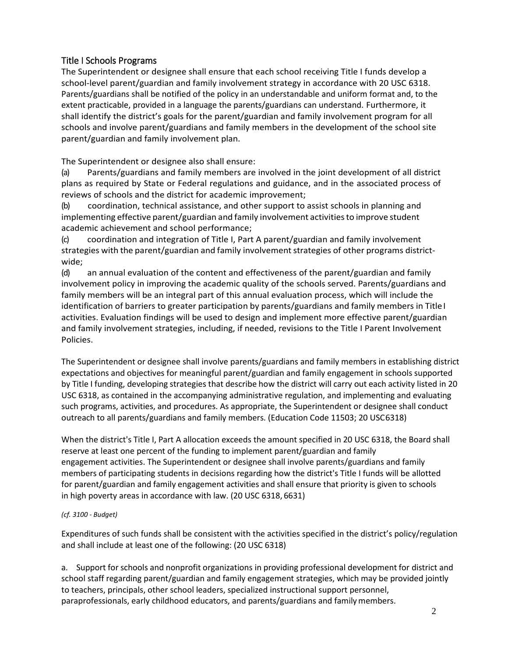## Title I Schools Programs

The Superintendent or designee shall ensure that each school receiving Title I funds develop a school-level parent/guardian and family involvement strategy in accordance with 20 USC 6318. Parents/guardians shall be notified of the policy in an understandable and uniform format and, to the extent practicable, provided in a language the parents/guardians can understand. Furthermore, it shall identify the district's goals for the parent/guardian and family involvement program for all schools and involve parent/guardians and family members in the development of the school site parent/guardian and family involvement plan.

The Superintendent or designee also shall ensure:

(a) Parents/guardians and family members are involved in the joint development of all district plans as required by State or Federal regulations and guidance, and in the associated process of reviews of schools and the district for academic improvement;

(b) coordination, technical assistance, and other support to assist schools in planning and implementing effective parent/guardian and family involvement activities to improve student academic achievement and school performance;

(c) coordination and integration of Title I, Part A parent/guardian and family involvement strategies with the parent/guardian and family involvement strategies of other programs districtwide;

(d) an annual evaluation of the content and effectiveness of the parent/guardian and family involvement policy in improving the academic quality of the schools served. Parents/guardians and family members will be an integral part of this annual evaluation process, which will include the identification of barriers to greater participation by parents/guardians and family members in TitleI activities. Evaluation findings will be used to design and implement more effective parent/guardian and family involvement strategies, including, if needed, revisions to the Title I Parent Involvement Policies.

The Superintendent or designee shall involve parents/guardians and family members in establishing district expectations and objectives for meaningful parent/guardian and family engagement in schools supported by Title I funding, developing strategies that describe how the district will carry out each activity listed in 20 USC 6318, as contained in the accompanying administrative regulation, and implementing and evaluating such programs, activities, and procedures. As appropriate, the Superintendent or designee shall conduct outreach to all parents/guardians and family members. (Education Code 11503; 20 USC6318)

When the district's Title I, Part A allocation exceeds the amount specified in 20 USC 6318, the Board shall reserve at least one percent of the funding to implement parent/guardian and family engagement activities. The Superintendent or designee shall involve parents/guardians and family members of participating students in decisions regarding how the district's Title I funds will be allotted for parent/guardian and family engagement activities and shall ensure that priority is given to schools in high poverty areas in accordance with law. (20 USC 6318, 6631)

## *(cf. 3100 - Budget)*

Expenditures of such funds shall be consistent with the activities specified in the district's policy/regulation and shall include at least one of the following: (20 USC 6318)

a. Support for schools and nonprofit organizations in providing professional development for district and school staff regarding parent/guardian and family engagement strategies, which may be provided jointly to teachers, principals, other school leaders, specialized instructional support personnel, paraprofessionals, early childhood educators, and parents/guardians and familymembers.